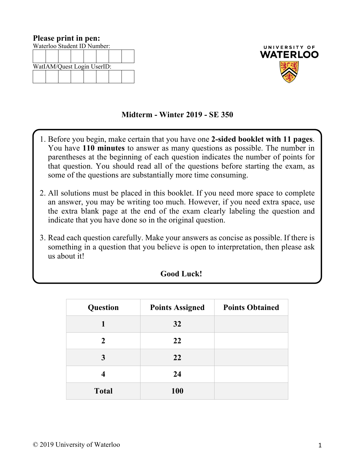| Please print in pen:        |                            |  |  |  |  |  |  |
|-----------------------------|----------------------------|--|--|--|--|--|--|
| Waterloo Student ID Number: |                            |  |  |  |  |  |  |
|                             |                            |  |  |  |  |  |  |
|                             |                            |  |  |  |  |  |  |
|                             | WatIAM/Quest Login UserID: |  |  |  |  |  |  |
|                             |                            |  |  |  |  |  |  |
|                             |                            |  |  |  |  |  |  |



## **Midterm - Winter 2019 - SE 350**

- 1. Before you begin, make certain that you have one **2-sided booklet with 11 pages**. You have **110 minutes** to answer as many questions as possible. The number in parentheses at the beginning of each question indicates the number of points for that question. You should read all of the questions before starting the exam, as some of the questions are substantially more time consuming.
- 2. All solutions must be placed in this booklet. If you need more space to complete an answer, you may be writing too much. However, if you need extra space, use the extra blank page at the end of the exam clearly labeling the question and indicate that you have done so in the original question.
- 3. Read each question carefully. Make your answers as concise as possible. If there is something in a question that you believe is open to interpretation, then please ask us about it!

| Question     | <b>Points Assigned</b> | <b>Points Obtained</b> |
|--------------|------------------------|------------------------|
|              | 32                     |                        |
| 2            | 22                     |                        |
| 3            | 22                     |                        |
|              | 24                     |                        |
| <b>Total</b> | <b>100</b>             |                        |

## **Good Luck!**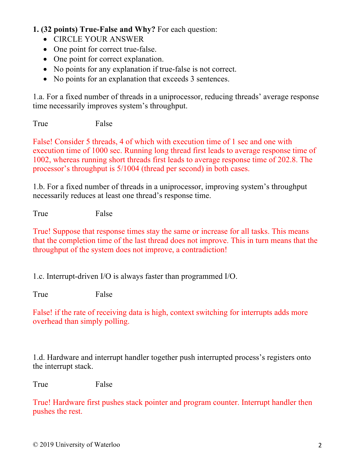## **1. (32 points) True-False and Why?** For each question:

- CIRCLE YOUR ANSWER
- One point for correct true-false.
- One point for correct explanation.
- No points for any explanation if true-false is not correct.
- No points for an explanation that exceeds 3 sentences.

1.a. For a fixed number of threads in a uniprocessor, reducing threads' average response time necessarily improves system's throughput.

True False

False! Consider 5 threads, 4 of which with execution time of 1 sec and one with execution time of 1000 sec. Running long thread first leads to average response time of 1002, whereas running short threads first leads to average response time of 202.8. The processor's throughput is 5/1004 (thread per second) in both cases.

1.b. For a fixed number of threads in a uniprocessor, improving system's throughput necessarily reduces at least one thread's response time.

True False

True! Suppose that response times stay the same or increase for all tasks. This means that the completion time of the last thread does not improve. This in turn means that the throughput of the system does not improve, a contradiction!

1.c. Interrupt-driven I/O is always faster than programmed I/O.

True False

False! if the rate of receiving data is high, context switching for interrupts adds more overhead than simply polling.

1.d. Hardware and interrupt handler together push interrupted process's registers onto the interrupt stack.

True False

True! Hardware first pushes stack pointer and program counter. Interrupt handler then pushes the rest.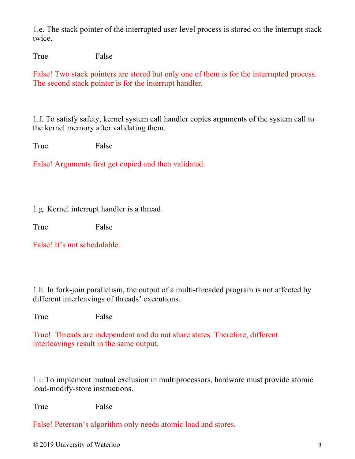1.e. The stack pointer of the interrupted user-level process is stored on the interrupt stack twice.

True False

False! Two stack pointers are stored but only one of them is for the interrupted process. The second stack pointer is for the interrupt handler.

1.f. To satisfy safety, kernel system call handler copies arguments of the system call to the kernel memory after validating them.

True False

False! Arguments first get copied and then validated.

1.g. Kernel interrupt handler is a thread.

True False

False! It's not schedulable.

1.h. In fork-join parallelism, the output of a multi-threaded program is not affected by different interleavings of threads' executions.

True False

True! Threads are independent and do not share states. Therefore, different interleavings result in the same output.

1.i. To implement mutual exclusion in multiprocessors, hardware must provide atomic load-modify-store instructions.

True False

False! Peterson's algorithm only needs atomic load and stores.

© 2019 University of Waterloo 3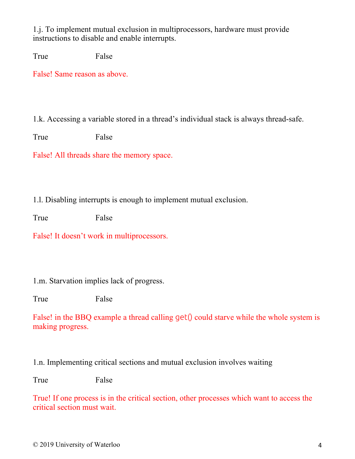1.j. To implement mutual exclusion in multiprocessors, hardware must provide instructions to disable and enable interrupts.

True False

False! Same reason as above.

1.k. Accessing a variable stored in a thread's individual stack is always thread-safe.

True False

False! All threads share the memory space.

1.l. Disabling interrupts is enough to implement mutual exclusion.

True False

False! It doesn't work in multiprocessors.

1.m. Starvation implies lack of progress.

True False

False! in the BBQ example a thread calling get() could starve while the whole system is making progress.

1.n. Implementing critical sections and mutual exclusion involves waiting

True False

True! If one process is in the critical section, other processes which want to access the critical section must wait.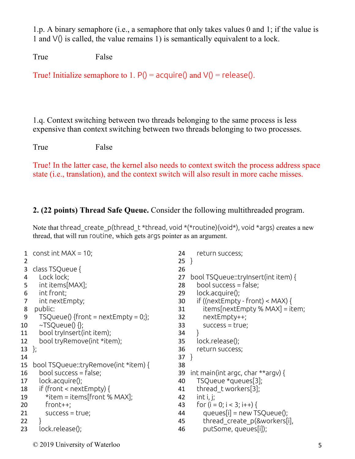1.p. A binary semaphore (i.e., a semaphore that only takes values 0 and 1; if the value is 1 and V() is called, the value remains 1) is semantically equivalent to a lock.

True False

True! Initialize semaphore to 1.  $P() = \text{acquire}(x)$  and  $V() = \text{release}(x)$ .

1.q. Context switching between two threads belonging to the same process is less expensive than context switching between two threads belonging to two processes.

True False

True! In the latter case, the kernel also needs to context switch the process address space state (i.e., translation), and the context switch will also result in more cache misses.

## **2. (22 points) Thread Safe Queue.** Consider the following multithreaded program.

Note that thread create p(thread t \*thread, void \*(\*routine)(void\*), void \*args) creates a new thread, that will run routine, which gets args pointer as an argument.

| 1  | const int MAX = $10$ ;                | 24     | return success;                      |
|----|---------------------------------------|--------|--------------------------------------|
| 2  |                                       | $25$ } |                                      |
| 3  | class TSQueue {                       | 26     |                                      |
| 4  | Lock lock;                            | 27     | bool TSQueue::tryInsert(int item) {  |
| 5  | int items[MAX];                       | 28     | bool success $=$ false;              |
| 6  | int front;                            | 29     | lock.acquire();                      |
| 7  | int nextEmpty;                        | 30     | if ((nextEmpty - front) < MAX) {     |
| 8  | public:                               | 31     | $items[nextEmpty % MAX] = item;$     |
| 9  | $TSQueue()$ {front = nextEmpty = 0;}; | 32     | nextEmpty++;                         |
| 10 | ~TSQueue() {};                        | 33     | $success = true;$                    |
| 11 | bool tryInsert(int item);             | 34     |                                      |
| 12 | bool tryRemove(int *item);            | 35     | lock.release();                      |
| 13 | $\cdot$                               | 36     | return success;                      |
| 14 |                                       | 37     |                                      |
| 15 | bool TSQueue::tryRemove(int *item) {  | 38     |                                      |
| 16 | bool success $=$ false;               | 39     | int main(int argc, char $**$ argv) { |
| 17 | lock.acquire();                       | 40     | TSQueue *queues[3];                  |
| 18 | if (front < $nextEmpty)$ {            | 41     | thread t workers[3];                 |
| 19 | *item = items[front % MAX];           | 42     | int i, j;                            |
| 20 | $front++;$                            | 43     | for $(i = 0; i < 3; i++)$ {          |
| 21 | $success = true;$                     | 44     | queues[i] = $new$ TSQueue();         |
| 22 |                                       | 45     | thread create p(&workers[i],         |
| 23 | lock.release();                       | 46     | putSome, queues[i]);                 |
|    |                                       |        |                                      |

© 2019 University of Waterloo 5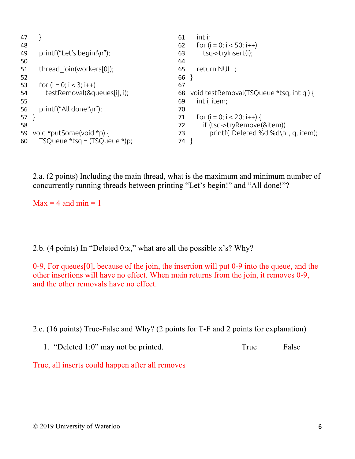```
47 }
48
49 printf("Let's begin!\n");
50
51 thread join(workers[0]);
52
53 for (i = 0; i < 3; i++)54 testRemoval(&queues[i], i);
55
56 printf("All done!\n");
57 }
58
59 void *putSome(void *p) {
60 TSQueue *tsq = (TSQueue *)p;
                                              61 int i;
                                               62 for (i = 0; i < 50; i++)63 tsq->tryInsert(i);
                                               64
                                               65 return NULL;
                                               66 }
                                               67
                                               68 void testRemoval(TSQueue *tsq, int q ) {
                                              69 int i, item;
                                               70
                                              71 for (i = 0; i < 20; i++)72 if (tsq->tryRemove(&item))
                                              73 printf("Deleted %d:%d\n", q, item);
                                              74 }
```
2.a. (2 points) Including the main thread, what is the maximum and minimum number of concurrently running threads between printing "Let's begin!" and "All done!"?

 $Max = 4$  and  $min = 1$ 

2.b. (4 points) In "Deleted 0:x," what are all the possible x's? Why?

0-9, For queues[0], because of the join, the insertion will put 0-9 into the queue, and the other insertions will have no effect. When main returns from the join, it removes 0-9, and the other removals have no effect.

2.c. (16 points) True-False and Why? (2 points for T-F and 2 points for explanation)

1. "Deleted 1:0" may not be printed. True False

True, all inserts could happen after all removes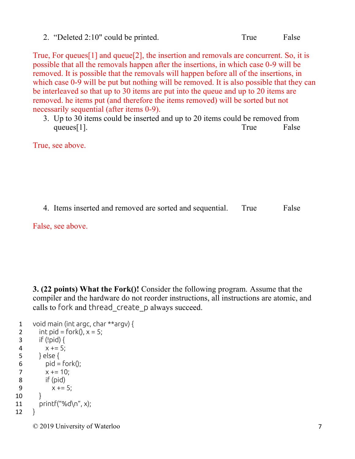2. "Deleted 2:10" could be printed. True False

True, For queues[1] and queue[2], the insertion and removals are concurrent. So, it is possible that all the removals happen after the insertions, in which case 0-9 will be removed. It is possible that the removals will happen before all of the insertions, in which case 0-9 will be put but nothing will be removed. It is also possible that they can be interleaved so that up to 30 items are put into the queue and up to 20 items are removed. he items put (and therefore the items removed) will be sorted but not necessarily sequential (after items 0-9).

3. Up to 30 items could be inserted and up to 20 items could be removed from queues[1]. True False

True, see above.

4. Items inserted and removed are sorted and sequential. True False

False, see above.

**3. (22 points) What the Fork()!** Consider the following program. Assume that the compiler and the hardware do not reorder instructions, all instructions are atomic, and calls to fork and thread\_create\_p always succeed.

```
1 void main (int argc, char **argv) {
 2 int pid = fork(), x = 5;
 3 if (!pid) {
 4 x += 5;
 5 } else {
 6 pid = fork();
 7 x += 10;
8 if (pid)
9 x += 5;
10 \quad \}11 print(f("%d\n\rightharpoonup n", x);12 }
```
© 2019 University of Waterloo 7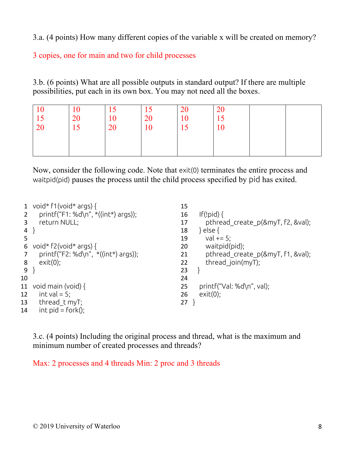3.a. (4 points) How many different copies of the variable x will be created on memory?

3 copies, one for main and two for child processes

3.b. (6 points) What are all possible outputs in standard output? If there are multiple possibilities, put each in its own box. You may not need all the boxes.

| 10<br>15<br>20 | 10 <sup>°</sup><br>20<br>$\overline{z}$ | 10<br>20 | 15<br>20<br>10 | 20<br>10<br>15 | <b>20</b><br>15<br>10 |  |
|----------------|-----------------------------------------|----------|----------------|----------------|-----------------------|--|
|                | LJ                                      |          |                |                |                       |  |
|                |                                         |          |                |                |                       |  |

Now, consider the following code. Note that exit(0) terminates the entire process and waitpid(pid) pauses the process until the child process specified by pid has exited.

|    | void* $f1$ (void* args) {              | 15                                      |  |
|----|----------------------------------------|-----------------------------------------|--|
|    | printf("F1: %d\n", *((int*) args));    | If(!pid) $\{$<br>16                     |  |
|    | return NULL;                           | pthread create p(&myT, f2, &val);<br>17 |  |
| 4  |                                        | } else {<br>18                          |  |
| 5  |                                        | $val += 5;$<br>19                       |  |
| 6  | void* $f2(void* args)$ {               | waitpid(pid);<br>20                     |  |
|    | printf("F2: %d\n", $*($ (int*) args)); | pthread create p(&myT, f1, &val);<br>21 |  |
| 8  | $exit(0)$ ;                            | thread join( $myT$ );<br>22             |  |
| 9  |                                        | 23                                      |  |
| 10 |                                        | 24                                      |  |
| 11 | void main (void) $\{$                  | $printf("Val: %d\n\,".$ val);<br>25     |  |
| 12 | $int val = 5$ ;                        | exit(0);<br>26                          |  |
| 13 | thread t myT;                          | 27                                      |  |
| 14 | $int$ pid = fork();                    |                                         |  |

3.c. (4 points) Including the original process and thread, what is the maximum and minimum number of created processes and threads?

Max: 2 processes and 4 threads Min: 2 proc and 3 threads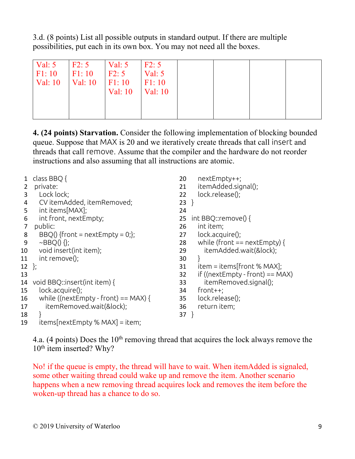3.d. (8 points) List all possible outputs in standard output. If there are multiple possibilities, put each in its own box. You may not need all the boxes.

| Val: $5$<br>F1:10 | F2:5<br>IF1:10 | Val: 5<br>F2:5 | F2:5<br>Val: 5 |  |  |
|-------------------|----------------|----------------|----------------|--|--|
| <b>Val: 10</b>    | Val: 10        | F1:10          | F1:10          |  |  |
|                   |                | <b>Val: 10</b> | <b>Val: 10</b> |  |  |
|                   |                |                |                |  |  |

**4. (24 points) Starvation.** Consider the following implementation of blocking bounded queue. Suppose that MAX is 20 and we iteratively create threads that call insert and threads that call remove. Assume that the compiler and the hardware do not reorder instructions and also assuming that all instructions are atomic.

|         | class BBQ {                          | nextEmpty++;<br>20                        |
|---------|--------------------------------------|-------------------------------------------|
| 2       | private:                             | itemAdded.signal();<br>21                 |
| 3       | Lock lock;                           | lock.release();<br>22                     |
| 4       | CV itemAdded, itemRemoved;           | $23$ }                                    |
| 5       | int items[MAX];                      | 24                                        |
| 6       | int front, nextEmpty;                | int BBQ::remove() {<br>25                 |
| 7       | public:                              | int item;<br>26                           |
| 8       | $BBQ()$ {front = nextEmpty = 0;};    | lock.acquire();<br>27                     |
| 9       | $\sim$ BBQ $() \{$ };                | while (front $==$ nextEmpty) {<br>28      |
| 10      | void insert(int item);               | itemAdded.wait(&lock);<br>29              |
| 11      | $int$ remove();                      | 30                                        |
| $12$ }; |                                      | $item = items[front % MAX];$<br>31        |
| 13      |                                      | if (( $nextEmpty - front$ ) == MAX)<br>32 |
| 14      | void BBQ::insert(int item) {         | itemRemoved.signal();<br>33               |
| 15      | $lock.acquire()$ ;                   | $from t++;$<br>34                         |
| 16      | while ((nextEmpty - front) == MAX) { | lock.release();<br>35                     |
| 17      | itemRemoved.wait(&lock);             | return item;<br>36                        |
| 18      |                                      | $37$ }                                    |
| 19      | $items[nextEmpty % MAX] = item;$     |                                           |

4.a. (4 points) Does the  $10<sup>th</sup>$  removing thread that acquires the lock always remove the 10<sup>th</sup> item inserted? Why?

No! if the queue is empty, the thread will have to wait. When itemAdded is signaled, some other waiting thread could wake up and remove the item. Another scenario happens when a new removing thread acquires lock and removes the item before the woken-up thread has a chance to do so.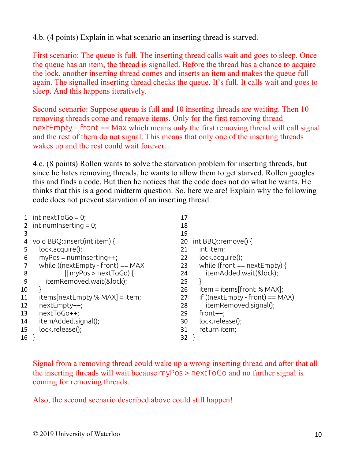4.b. (4 points) Explain in what scenario an inserting thread is starved.

First scenario: The queue is full. The inserting thread calls wait and goes to sleep. Once the queue has an item, the thread is signalled. Before the thread has a chance to acquire the lock, another inserting thread comes and inserts an item and makes the queue full again. The signalled inserting thread checks the queue. It's full. It calls wait and goes to sleep. And this happens iteratively.

Second scenario: Suppose queue is full and 10 inserting threads are waiting. Then 10 removing threads come and remove items. Only for the first removing thread nextEmpty – front == Max which means only the first removing thread will call signal and the rest of them do not signal. This means that only one of the inserting threads wakes up and the rest could wait forever.

4.c. (8 points) Rollen wants to solve the starvation problem for inserting threads, but since he hates removing threads, he wants to allow them to get starved. Rollen googles this and finds a code. But then he notices that the code does not do what he wants. He thinks that this is a good midterm question. So, here we are! Explain why the following code does not prevent starvation of an inserting thread.

|    | 1 int next ToGo = 0;                 | 17 |                                    |
|----|--------------------------------------|----|------------------------------------|
|    | 2 int numInserting $= 0$ ;           | 18 |                                    |
| 3  |                                      | 19 |                                    |
| 4  | void BBQ::insert(int item) {         | 20 | int BBQ::remove() {                |
| 5  | lock.acquire();                      | 21 | int item;                          |
| 6  | $myPos = numInserting++;$            | 22 | lock.acquire();                    |
| 7  | while (( $nextEmpty$ - front) == MAX | 23 | while (front $==$ nextEmpty) {     |
| 8  | $\parallel$ myPos > nextToGo) {      | 24 | itemAdded.wait(&lock);             |
| 9  | itemRemoved.wait(&lock);             | 25 |                                    |
| 10 |                                      | 26 | $item = items[front % MAX];$       |
| 11 | $items[nextEmpty % MAX] = item;$     | 27 | if ((nextEmpty - front) == $MAX$ ) |
| 12 | nextEmpty++;                         | 28 | itemRemoved.signal();              |
| 13 | nextToGo++;                          | 29 | $front++;$                         |
| 14 | itemAdded.signal();                  | 30 | lock.release();                    |
| 15 | lock.release();                      | 31 | return item;                       |
| 16 |                                      | 32 |                                    |
|    |                                      |    |                                    |

Signal from a removing thread could wake up a wrong inserting thread and after that all the inserting threads will wait because myPos > nextToGo and no further signal is coming for removing threads.

Also, the second scenario described above could still happen!